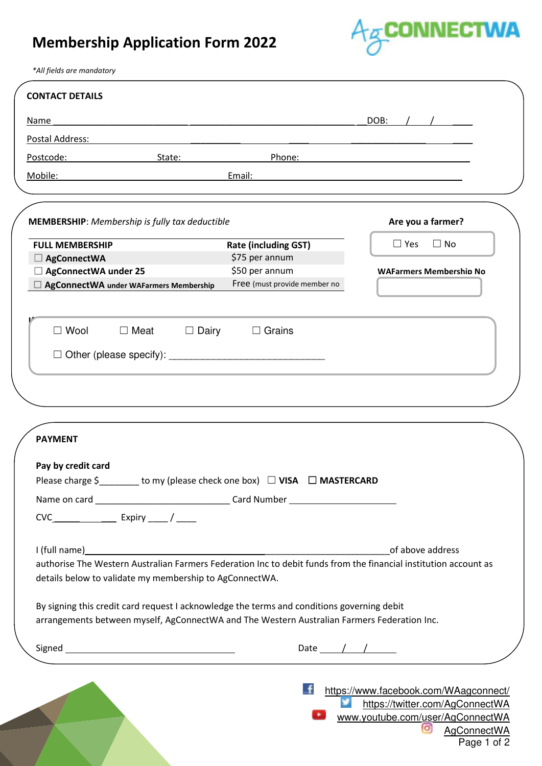## **Membership Application Form 2022**



*\*All fields are mandatory*

|                                                            |              | <u> 1989 - Johann Stoff, deutscher Stoff, der Stoff, der Stoff, der Stoff, der Stoff, der Stoff, der Stoff, der S</u>                                                                     | DOB:                                                                                                                                 |
|------------------------------------------------------------|--------------|-------------------------------------------------------------------------------------------------------------------------------------------------------------------------------------------|--------------------------------------------------------------------------------------------------------------------------------------|
| Postal Address:                                            |              |                                                                                                                                                                                           |                                                                                                                                      |
| Postcode:                                                  | State:       | Phone:                                                                                                                                                                                    |                                                                                                                                      |
| Mobile:                                                    |              | Email:                                                                                                                                                                                    |                                                                                                                                      |
| <b>MEMBERSHIP:</b> Membership is fully tax deductible      |              |                                                                                                                                                                                           | Are you a farmer?                                                                                                                    |
| <b>FULL MEMBERSHIP</b>                                     |              | <b>Rate (including GST)</b>                                                                                                                                                               | $\Box$ No<br>$\Box$ Yes                                                                                                              |
| $\Box$ AgConnectWA                                         |              | \$75 per annum                                                                                                                                                                            |                                                                                                                                      |
| □ AgConnectWA under 25                                     |              | \$50 per annum                                                                                                                                                                            | <b>WAFarmers Membership No</b>                                                                                                       |
| $\Box$ AgConnectWA under WAFarmers Membership              |              | Free (must provide member no                                                                                                                                                              |                                                                                                                                      |
| $\square$ Wool<br>$\Box$ Meat                              | $\Box$ Dairy | $\Box$ Grains                                                                                                                                                                             |                                                                                                                                      |
|                                                            |              |                                                                                                                                                                                           |                                                                                                                                      |
| <b>PAYMENT</b>                                             |              |                                                                                                                                                                                           |                                                                                                                                      |
|                                                            |              | to my (please check one box) □ VISA □ MASTERCARD                                                                                                                                          |                                                                                                                                      |
| Pay by credit card<br>Please charge \$<br>$CVC$ Expiry $/$ |              | Name on card ___________________________________Card Number ____________________                                                                                                          |                                                                                                                                      |
|                                                            |              |                                                                                                                                                                                           |                                                                                                                                      |
| details below to validate my membership to AgConnectWA.    |              |                                                                                                                                                                                           | of above address<br>authorise The Western Australian Farmers Federation Inc to debit funds from the financial institution account as |
|                                                            |              | By signing this credit card request I acknowledge the terms and conditions governing debit<br>arrangements between myself, AgConnectWA and The Western Australian Farmers Federation Inc. |                                                                                                                                      |
|                                                            |              | Date $\frac{1}{\sqrt{2}}$                                                                                                                                                                 |                                                                                                                                      |
|                                                            |              |                                                                                                                                                                                           | https://www.facebook.com/WAagconnect/                                                                                                |